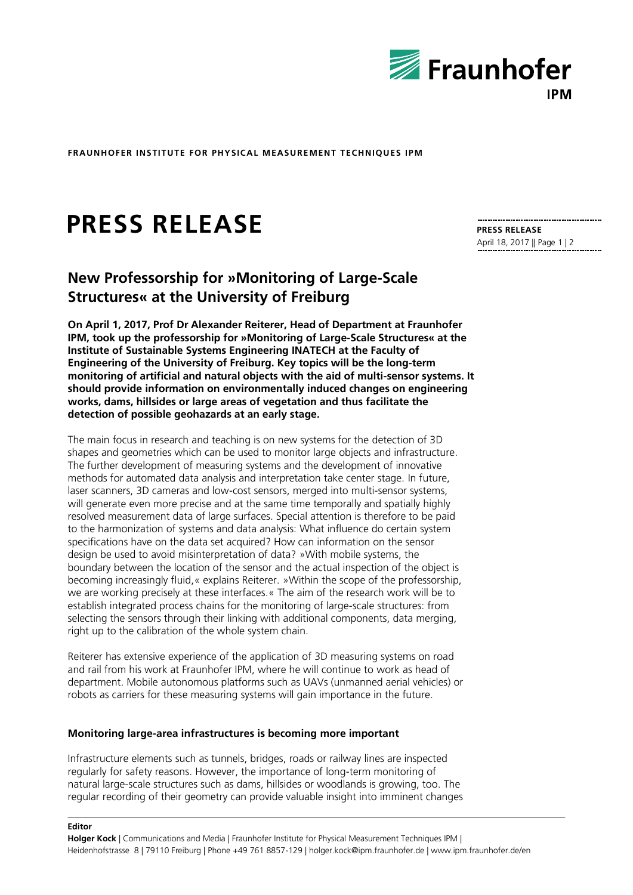

**FRAUNHOFER INSTITUTE FOR PHYSICAL MEASUREMENT TECHNIQUES IPM**

# **PRESS RELEASE**

# **New Professorship for »Monitoring of Large-Scale Structures« at the University of Freiburg**

**On April 1, 2017, Prof Dr Alexander Reiterer, Head of Department at Fraunhofer IPM, took up the professorship for »Monitoring of Large-Scale Structures« at the Institute of Sustainable Systems Engineering INATECH at the Faculty of Engineering of the University of Freiburg. Key topics will be the long-term monitoring of artificial and natural objects with the aid of multi-sensor systems. It should provide information on environmentally induced changes on engineering works, dams, hillsides or large areas of vegetation and thus facilitate the detection of possible geohazards at an early stage.** 

The main focus in research and teaching is on new systems for the detection of 3D shapes and geometries which can be used to monitor large objects and infrastructure. The further development of measuring systems and the development of innovative methods for automated data analysis and interpretation take center stage. In future, laser scanners, 3D cameras and low-cost sensors, merged into multi-sensor systems, will generate even more precise and at the same time temporally and spatially highly resolved measurement data of large surfaces. Special attention is therefore to be paid to the harmonization of systems and data analysis: What influence do certain system specifications have on the data set acquired? How can information on the sensor design be used to avoid misinterpretation of data? »With mobile systems, the boundary between the location of the sensor and the actual inspection of the object is becoming increasingly fluid,« explains Reiterer. »Within the scope of the professorship, we are working precisely at these interfaces.« The aim of the research work will be to establish integrated process chains for the monitoring of large-scale structures: from selecting the sensors through their linking with additional components, data merging, right up to the calibration of the whole system chain.

Reiterer has extensive experience of the application of 3D measuring systems on road and rail from his work at Fraunhofer IPM, where he will continue to work as head of department. Mobile autonomous platforms such as UAVs (unmanned aerial vehicles) or robots as carriers for these measuring systems will gain importance in the future.

#### **Monitoring large-area infrastructures is becoming more important**

**Editor**

Infrastructure elements such as tunnels, bridges, roads or railway lines are inspected regularly for safety reasons. However, the importance of long-term monitoring of natural large-scale structures such as dams, hillsides or woodlands is growing, too. The regular recording of their geometry can provide valuable insight into imminent changes **PRESS RELEASE** April 18, 2017 || Page 1 | 2